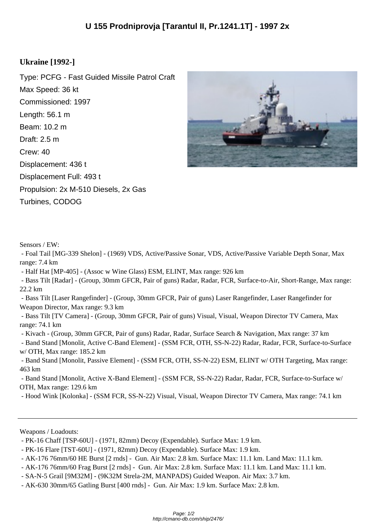## **Ukraine [1992-]**

Type: PCFG - Fast Guided Missile Patrol Craft Max Speed: 36 kt Commissioned: 1997 Length: 56.1 m Beam: 10.2 m Draft: 2.5 m Crew: 40 Displacement: 436 t Displacement Full: 493 t Propulsion: 2x M-510 Diesels, 2x Gas Turbines, CODOG



Sensors / EW:

 - Foal Tail [MG-339 Shelon] - (1969) VDS, Active/Passive Sonar, VDS, Active/Passive Variable Depth Sonar, Max range: 7.4 km

- Half Hat [MP-405] - (Assoc w Wine Glass) ESM, ELINT, Max range: 926 km

 - Bass Tilt [Radar] - (Group, 30mm GFCR, Pair of guns) Radar, Radar, FCR, Surface-to-Air, Short-Range, Max range: 22.2 km

 - Bass Tilt [Laser Rangefinder] - (Group, 30mm GFCR, Pair of guns) Laser Rangefinder, Laser Rangefinder for Weapon Director, Max range: 9.3 km

 - Bass Tilt [TV Camera] - (Group, 30mm GFCR, Pair of guns) Visual, Visual, Weapon Director TV Camera, Max range: 74.1 km

- Kivach - (Group, 30mm GFCR, Pair of guns) Radar, Radar, Surface Search & Navigation, Max range: 37 km

 - Band Stand [Monolit, Active C-Band Element] - (SSM FCR, OTH, SS-N-22) Radar, Radar, FCR, Surface-to-Surface w/ OTH, Max range: 185.2 km

 - Band Stand [Monolit, Passive Element] - (SSM FCR, OTH, SS-N-22) ESM, ELINT w/ OTH Targeting, Max range: 463 km

 - Band Stand [Monolit, Active X-Band Element] - (SSM FCR, SS-N-22) Radar, Radar, FCR, Surface-to-Surface w/ OTH, Max range: 129.6 km

- Hood Wink [Kolonka] - (SSM FCR, SS-N-22) Visual, Visual, Weapon Director TV Camera, Max range: 74.1 km

Weapons / Loadouts:

- SA-N-5 Grail [9M32M] - (9K32M Strela-2M, MANPADS) Guided Weapon. Air Max: 3.7 km.

 <sup>-</sup> PK-16 Chaff [TSP-60U] - (1971, 82mm) Decoy (Expendable). Surface Max: 1.9 km.

 <sup>-</sup> PK-16 Flare [TST-60U] - (1971, 82mm) Decoy (Expendable). Surface Max: 1.9 km.

 <sup>-</sup> AK-176 76mm/60 HE Burst [2 rnds] - Gun. Air Max: 2.8 km. Surface Max: 11.1 km. Land Max: 11.1 km.

 <sup>-</sup> AK-176 76mm/60 Frag Burst [2 rnds] - Gun. Air Max: 2.8 km. Surface Max: 11.1 km. Land Max: 11.1 km.

 <sup>-</sup> AK-630 30mm/65 Gatling Burst [400 rnds] - Gun. Air Max: 1.9 km. Surface Max: 2.8 km.